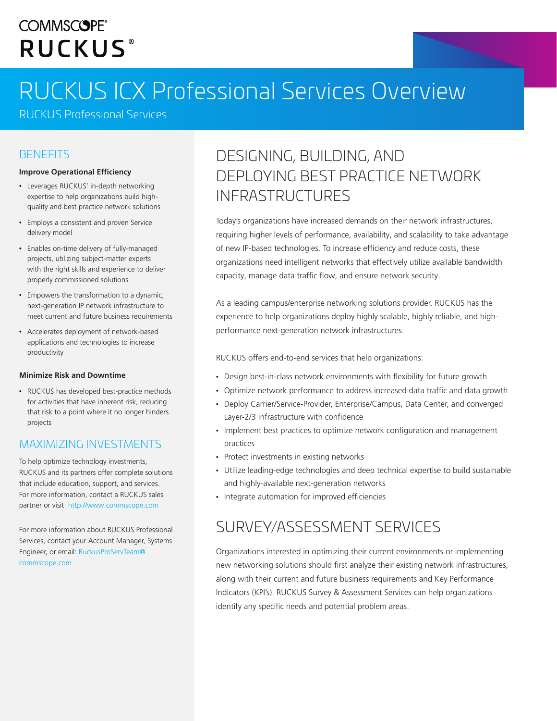## **COMMSCOPE® RUCKUS**

# RUCKUS ICX Professional Services Overview

RUCKUS Professional Services

#### **BENEFITS**

#### **Improve Operational Efficiency**

- Leverages RUCKUS' in-depth networking expertise to help organizations build highquality and best practice network solutions
- Employs a consistent and proven Service delivery model
- Enables on-time delivery of fully-managed projects, utilizing subject-matter experts with the right skills and experience to deliver properly commissioned solutions
- Empowers the transformation to a dynamic, next-generation IP network infrastructure to meet current and future business requirements
- Accelerates deployment of network-based applications and technologies to increase productivity

#### **Minimize Risk and Downtime**

• RUCKUS has developed best-practice methods for activities that have inherent risk, reducing that risk to a point where it no longer hinders projects

#### MAXIMIZING INVESTMENTS

To help optimize technology investments, RUCKUS and its partners offer complete solutions that include education, support, and services. For more information, contact a RUCKUS sales partner or visit <http://www.commscope.com>

For more information about RUCKUS Professional Services, contact your Account Manager, Systems Engineer, or email: [RuckusProServTeam@](mailto:RuckusProServTeam%40commscope.com?subject=) [commscope.com](mailto:RuckusProServTeam%40commscope.com?subject=)

### DESIGNING, BUILDING, AND DEPLOYING BEST PRACTICE NETWORK INFRASTRUCTURES

Today's organizations have increased demands on their network infrastructures, requiring higher levels of performance, availability, and scalability to take advantage of new IP-based technologies. To increase efficiency and reduce costs, these organizations need intelligent networks that effectively utilize available bandwidth capacity, manage data traffic flow, and ensure network security.

As a leading campus/enterprise networking solutions provider, RUCKUS has the experience to help organizations deploy highly scalable, highly reliable, and highperformance next-generation network infrastructures.

RUCKUS offers end-to-end services that help organizations:

- Design best-in-class network environments with flexibility for future growth
- Optimize network performance to address increased data traffic and data growth
- Deploy Carrier/Service-Provider, Enterprise/Campus, Data Center, and converged Layer-2/3 infrastructure with confidence
- Implement best practices to optimize network configuration and management practices
- Protect investments in existing networks
- Utilize leading-edge technologies and deep technical expertise to build sustainable and highly-available next-generation networks
- Integrate automation for improved efficiencies

#### SURVEY/ASSESSMENT SERVICES

Organizations interested in optimizing their current environments or implementing new networking solutions should first analyze their existing network infrastructures, along with their current and future business requirements and Key Performance Indicators (KPI's). RUCKUS Survey & Assessment Services can help organizations identify any specific needs and potential problem areas.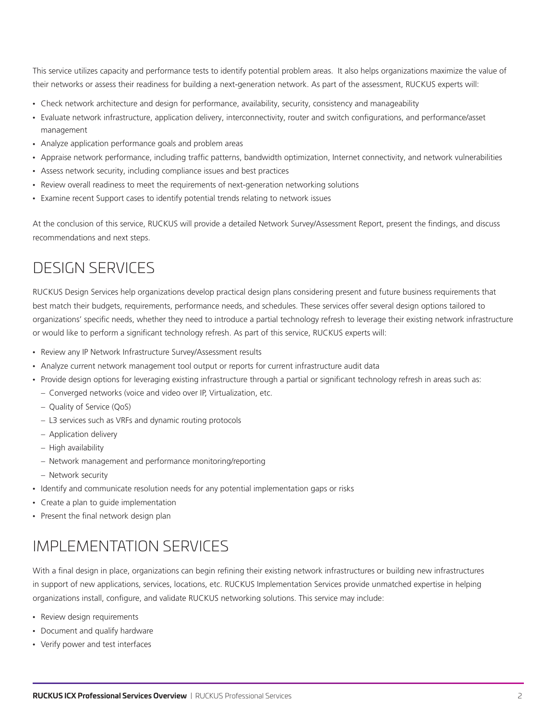This service utilizes capacity and performance tests to identify potential problem areas. It also helps organizations maximize the value of their networks or assess their readiness for building a next-generation network. As part of the assessment, RUCKUS experts will:

- Check network architecture and design for performance, availability, security, consistency and manageability
- Evaluate network infrastructure, application delivery, interconnectivity, router and switch configurations, and performance/asset management
- Analyze application performance goals and problem areas
- Appraise network performance, including traffic patterns, bandwidth optimization, Internet connectivity, and network vulnerabilities
- Assess network security, including compliance issues and best practices
- Review overall readiness to meet the requirements of next-generation networking solutions
- Examine recent Support cases to identify potential trends relating to network issues

At the conclusion of this service, RUCKUS will provide a detailed Network Survey/Assessment Report, present the findings, and discuss recommendations and next steps.

### DESIGN SERVICES

RUCKUS Design Services help organizations develop practical design plans considering present and future business requirements that best match their budgets, requirements, performance needs, and schedules. These services offer several design options tailored to organizations' specific needs, whether they need to introduce a partial technology refresh to leverage their existing network infrastructure or would like to perform a significant technology refresh. As part of this service, RUCKUS experts will:

- Review any IP Network Infrastructure Survey/Assessment results
- Analyze current network management tool output or reports for current infrastructure audit data
- Provide design options for leveraging existing infrastructure through a partial or significant technology refresh in areas such as:
	- − Converged networks (voice and video over IP, Virtualization, etc.
	- − Quality of Service (QoS)
	- − L3 services such as VRFs and dynamic routing protocols
	- − Application delivery
	- − High availability
	- − Network management and performance monitoring/reporting
	- − Network security
- Identify and communicate resolution needs for any potential implementation gaps or risks
- Create a plan to guide implementation
- Present the final network design plan

### IMPLEMENTATION SERVICES

With a final design in place, organizations can begin refining their existing network infrastructures or building new infrastructures in support of new applications, services, locations, etc. RUCKUS Implementation Services provide unmatched expertise in helping organizations install, configure, and validate RUCKUS networking solutions. This service may include:

- Review design requirements
- Document and qualify hardware
- Verify power and test interfaces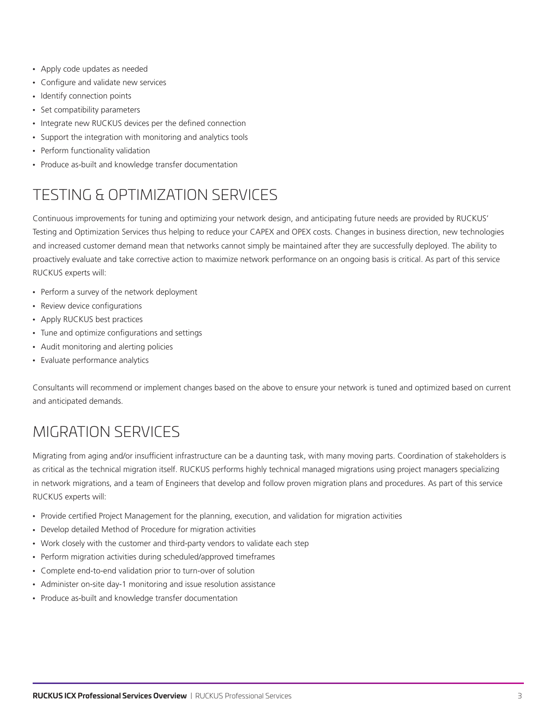- Apply code updates as needed
- Configure and validate new services
- Identify connection points
- Set compatibility parameters
- Integrate new RUCKUS devices per the defined connection
- Support the integration with monitoring and analytics tools
- Perform functionality validation
- Produce as-built and knowledge transfer documentation

### TESTING & OPTIMIZATION SERVICES

Continuous improvements for tuning and optimizing your network design, and anticipating future needs are provided by RUCKUS' Testing and Optimization Services thus helping to reduce your CAPEX and OPEX costs. Changes in business direction, new technologies and increased customer demand mean that networks cannot simply be maintained after they are successfully deployed. The ability to proactively evaluate and take corrective action to maximize network performance on an ongoing basis is critical. As part of this service RUCKUS experts will:

- Perform a survey of the network deployment
- Review device configurations
- Apply RUCKUS best practices
- Tune and optimize configurations and settings
- Audit monitoring and alerting policies
- Evaluate performance analytics

Consultants will recommend or implement changes based on the above to ensure your network is tuned and optimized based on current and anticipated demands.

### MIGRATION SERVICES

Migrating from aging and/or insufficient infrastructure can be a daunting task, with many moving parts. Coordination of stakeholders is as critical as the technical migration itself. RUCKUS performs highly technical managed migrations using project managers specializing in network migrations, and a team of Engineers that develop and follow proven migration plans and procedures. As part of this service RUCKUS experts will:

- Provide certified Project Management for the planning, execution, and validation for migration activities
- Develop detailed Method of Procedure for migration activities
- Work closely with the customer and third-party vendors to validate each step
- Perform migration activities during scheduled/approved timeframes
- Complete end-to-end validation prior to turn-over of solution
- Administer on-site day-1 monitoring and issue resolution assistance
- Produce as-built and knowledge transfer documentation